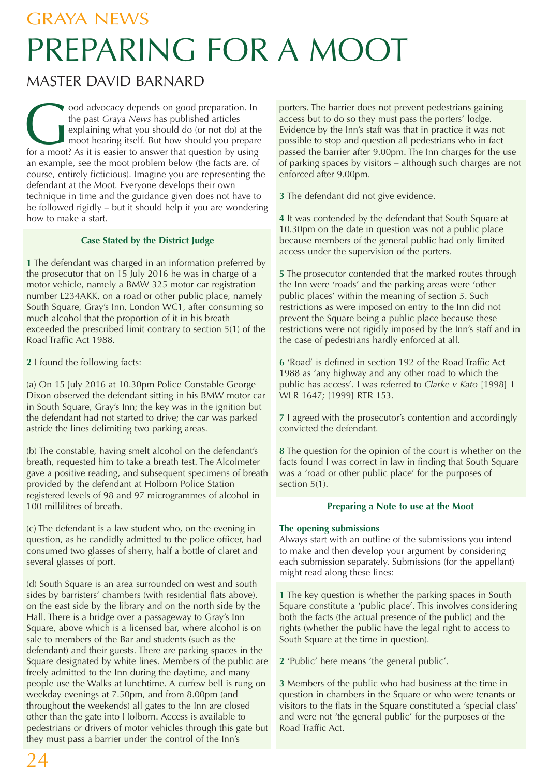# PREPARING FOR A MOOT

# MASTER DAVID BARNARD

The past *Graya News* has published articles<br>explaining what you should do (or not do) at the<br>moot hearing itself. But how should you prepare<br>for a moot? As it is easier to answer that question by using the past *Graya News* has published articles explaining what you should do (or not do) at the moot hearing itself. But how should you prepare an example, see the moot problem below (the facts are, of course, entirely ficticious). Imagine you are representing the defendant at the Moot. Everyone develops their own technique in time and the guidance given does not have to be followed rigidly – but it should help if you are wondering how to make a start.

#### **Case Stated by the District Judge**

**1** The defendant was charged in an information preferred by the prosecutor that on 15 July 2016 he was in charge of a motor vehicle, namely a BMW 325 motor car registration number L234AKK, on a road or other public place, namely South Square, Gray's Inn, London WC1, after consuming so much alcohol that the proportion of it in his breath exceeded the prescribed limit contrary to section 5(1) of the Road Traffic Act 1988.

**2** I found the following facts:

(a) On 15 July 2016 at 10.30pm Police Constable George Dixon observed the defendant sitting in his BMW motor car in South Square, Gray's Inn; the key was in the ignition but the defendant had not started to drive; the car was parked astride the lines delimiting two parking areas.

(b) The constable, having smelt alcohol on the defendant's breath, requested him to take a breath test. The Alcolmeter gave a positive reading, and subsequent specimens of breath provided by the defendant at Holborn Police Station registered levels of 98 and 97 microgrammes of alcohol in 100 millilitres of breath.

(c) The defendant is a law student who, on the evening in question, as he candidly admitted to the police officer, had consumed two glasses of sherry, half a bottle of claret and several glasses of port.

(d) South Square is an area surrounded on west and south sides by barristers' chambers (with residential flats above), on the east side by the library and on the north side by the Hall. There is a bridge over a passageway to Gray's Inn Square, above which is a licensed bar, where alcohol is on sale to members of the Bar and students (such as the defendant) and their guests. There are parking spaces in the Square designated by white lines. Members of the public are freely admitted to the Inn during the daytime, and many people use the Walks at lunchtime. A curfew bell is rung on weekday evenings at 7.50pm, and from 8.00pm (and throughout the weekends) all gates to the Inn are closed other than the gate into Holborn. Access is available to pedestrians or drivers of motor vehicles through this gate but they must pass a barrier under the control of the Inn's

porters. The barrier does not prevent pedestrians gaining access but to do so they must pass the porters' lodge. Evidence by the Inn's staff was that in practice it was not possible to stop and question all pedestrians who in fact passed the barrier after 9.00pm. The Inn charges for the use of parking spaces by visitors – although such charges are not enforced after 9.00pm.

**3** The defendant did not give evidence.

**4** It was contended by the defendant that South Square at 10.30pm on the date in question was not a public place because members of the general public had only limited access under the supervision of the porters.

**5** The prosecutor contended that the marked routes through the Inn were 'roads' and the parking areas were 'other public places' within the meaning of section 5. Such restrictions as were imposed on entry to the Inn did not prevent the Square being a public place because these restrictions were not rigidly imposed by the Inn's staff and in the case of pedestrians hardly enforced at all.

**6** 'Road' is defined in section 192 of the Road Traffic Act 1988 as 'any highway and any other road to which the public has access'. I was referred to *Clarke v Kato* [1998] 1 WLR 1647; [1999] RTR 153.

**7** I agreed with the prosecutor's contention and accordingly convicted the defendant.

**8** The question for the opinion of the court is whether on the facts found I was correct in law in finding that South Square was a 'road or other public place' for the purposes of section 5(1).

#### **Preparing a Note to use at the Moot**

#### **The opening submissions**

Always start with an outline of the submissions you intend to make and then develop your argument by considering each submission separately. Submissions (for the appellant) might read along these lines:

**1** The key question is whether the parking spaces in South Square constitute a 'public place'. This involves considering both the facts (the actual presence of the public) and the rights (whether the public have the legal right to access to South Square at the time in question).

**2** 'Public' here means 'the general public'.

**3** Members of the public who had business at the time in question in chambers in the Square or who were tenants or visitors to the flats in the Square constituted a 'special class' and were not 'the general public' for the purposes of the Road Traffic Act.